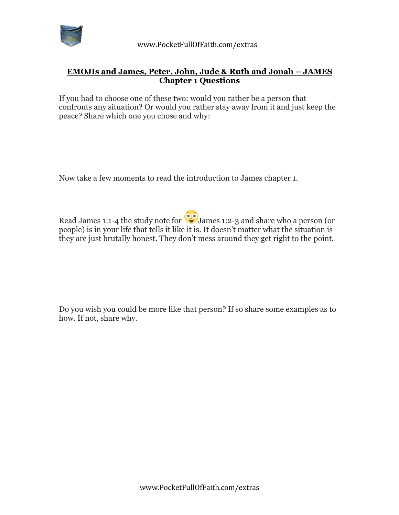

## **EMOJIs and James, Peter, John, Jude & Ruth and Jonah – JAMES Chapter 1 Questions**

If you had to choose one of these two: would you rather be a person that confronts any situation? Or would you rather stay away from it and just keep the peace? Share which one you chose and why:

Now take a few moments to read the introduction to James chapter 1.

Read James 1:1-4 the study note for  $\odot$  James 1:2-3 and share who a person (or people) is in your life that tells it like it is. It doesn't matter what the situation is they are just brutally honest. They don't mess around they get right to the point.

Do you wish you could be more like that person? If so share some examples as to how. If not, share why.